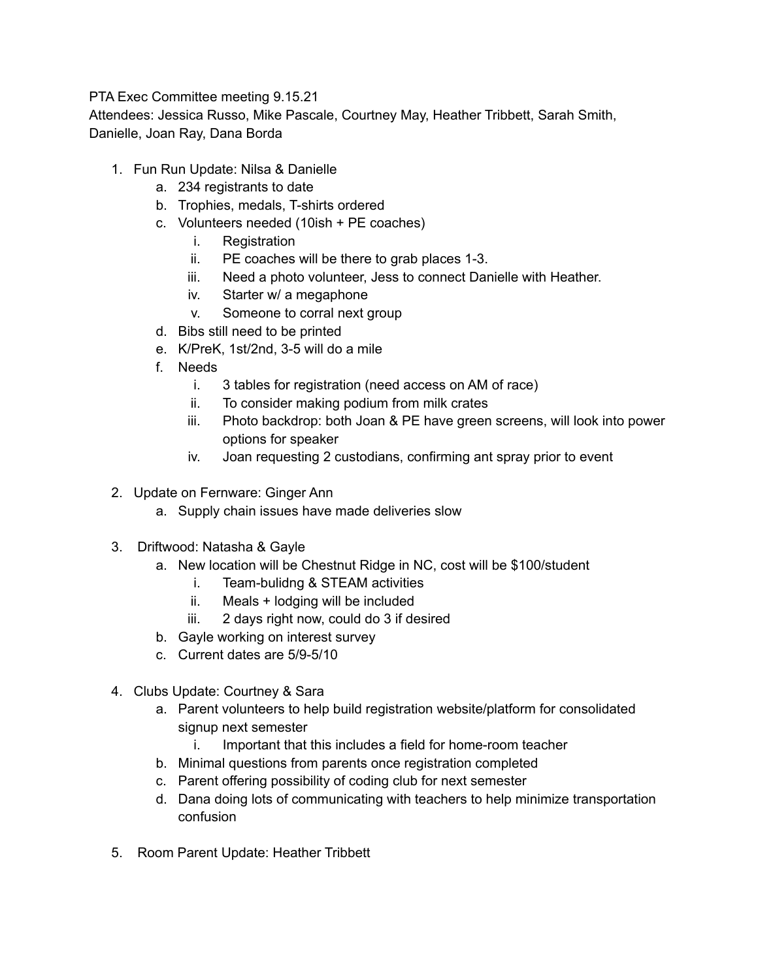PTA Exec Committee meeting 9.15.21

Attendees: Jessica Russo, Mike Pascale, Courtney May, Heather Tribbett, Sarah Smith, Danielle, Joan Ray, Dana Borda

- 1. Fun Run Update: Nilsa & Danielle
	- a. 234 registrants to date
	- b. Trophies, medals, T-shirts ordered
	- c. Volunteers needed (10ish + PE coaches)
		- i. Registration
		- ii. PE coaches will be there to grab places 1-3.
		- iii. Need a photo volunteer, Jess to connect Danielle with Heather.
		- iv. Starter w/ a megaphone
		- v. Someone to corral next group
	- d. Bibs still need to be printed
	- e. K/PreK, 1st/2nd, 3-5 will do a mile
	- f. Needs
		- i. 3 tables for registration (need access on AM of race)
		- ii. To consider making podium from milk crates
		- iii. Photo backdrop: both Joan & PE have green screens, will look into power options for speaker
		- iv. Joan requesting 2 custodians, confirming ant spray prior to event
- 2. Update on Fernware: Ginger Ann
	- a. Supply chain issues have made deliveries slow
- 3. Driftwood: Natasha & Gayle
	- a. New location will be Chestnut Ridge in NC, cost will be \$100/student
		- i. Team-bulidng & STEAM activities
		- ii. Meals + lodging will be included
		- iii. 2 days right now, could do 3 if desired
	- b. Gayle working on interest survey
	- c. Current dates are 5/9-5/10
- 4. Clubs Update: Courtney & Sara
	- a. Parent volunteers to help build registration website/platform for consolidated signup next semester
		- i. Important that this includes a field for home-room teacher
	- b. Minimal questions from parents once registration completed
	- c. Parent offering possibility of coding club for next semester
	- d. Dana doing lots of communicating with teachers to help minimize transportation confusion
- 5. Room Parent Update: Heather Tribbett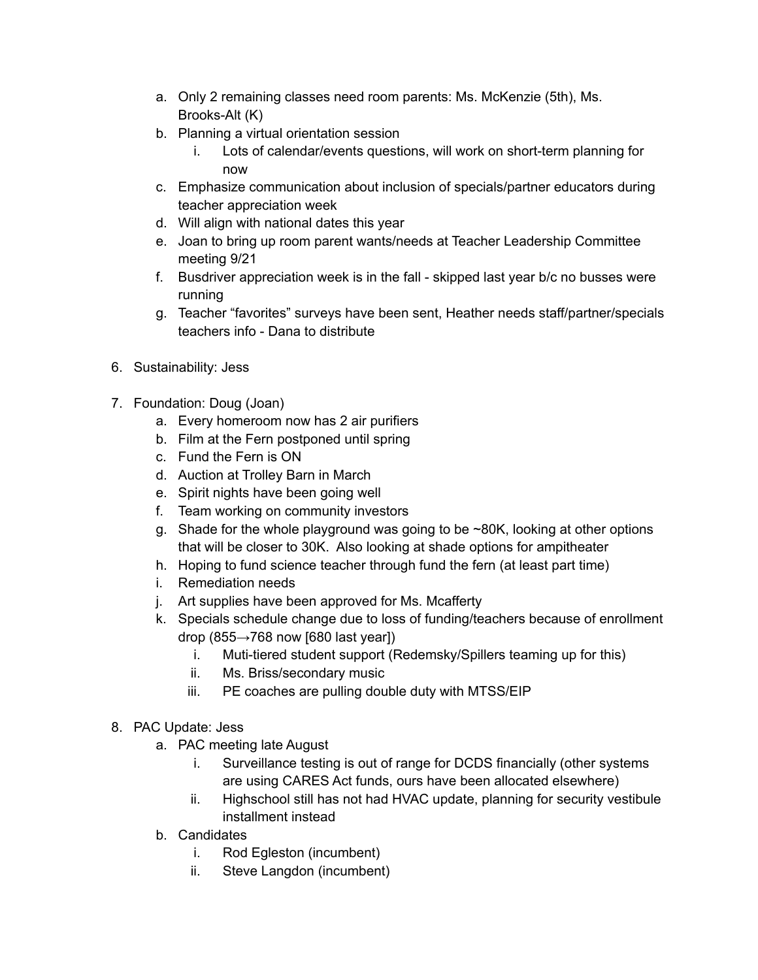- a. Only 2 remaining classes need room parents: Ms. McKenzie (5th), Ms. Brooks-Alt (K)
- b. Planning a virtual orientation session
	- i. Lots of calendar/events questions, will work on short-term planning for now
- c. Emphasize communication about inclusion of specials/partner educators during teacher appreciation week
- d. Will align with national dates this year
- e. Joan to bring up room parent wants/needs at Teacher Leadership Committee meeting 9/21
- f. Busdriver appreciation week is in the fall skipped last year b/c no busses were running
- g. Teacher "favorites" surveys have been sent, Heather needs staff/partner/specials teachers info - Dana to distribute
- 6. Sustainability: Jess
- 7. Foundation: Doug (Joan)
	- a. Every homeroom now has 2 air purifiers
	- b. Film at the Fern postponed until spring
	- c. Fund the Fern is ON
	- d. Auction at Trolley Barn in March
	- e. Spirit nights have been going well
	- f. Team working on community investors
	- g. Shade for the whole playground was going to be ~80K, looking at other options that will be closer to 30K. Also looking at shade options for ampitheater
	- h. Hoping to fund science teacher through fund the fern (at least part time)
	- i. Remediation needs
	- j. Art supplies have been approved for Ms. Mcafferty
	- k. Specials schedule change due to loss of funding/teachers because of enrollment drop (855 $\rightarrow$ 768 now [680 last year])
		- i. Muti-tiered student support (Redemsky/Spillers teaming up for this)
		- ii. Ms. Briss/secondary music
		- iii. PE coaches are pulling double duty with MTSS/EIP
- 8. PAC Update: Jess
	- a. PAC meeting late August
		- i. Surveillance testing is out of range for DCDS financially (other systems are using CARES Act funds, ours have been allocated elsewhere)
		- ii. Highschool still has not had HVAC update, planning for security vestibule installment instead
	- b. Candidates
		- i. Rod Egleston (incumbent)
		- ii. Steve Langdon (incumbent)